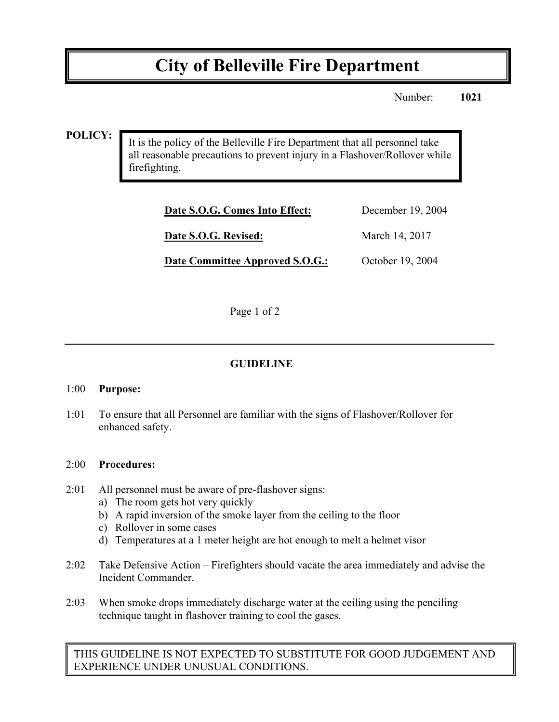# **City of Belleville Fire Department**

Number: **1021**

### **POLICY:**

It is the policy of the Belleville Fire Department that all personnel take all reasonable precautions to prevent injury in a Flashover/Rollover while firefighting.

| Date S.O.G. Comes Into Effect:         | December 19, 2004 |
|----------------------------------------|-------------------|
| Date S.O.G. Revised:                   | March 14, 2017    |
| <b>Date Committee Approved S.O.G.:</b> | October 19, 2004  |

Page 1 of 2

## **GUIDELINE**

#### 1:00 **Purpose:**

1:01 To ensure that all Personnel are familiar with the signs of Flashover/Rollover for enhanced safety.

#### 2:00 **Procedures:**

- 2:01 All personnel must be aware of pre-flashover signs:
	- a) The room gets hot very quickly
	- b) A rapid inversion of the smoke layer from the ceiling to the floor
	- c) Rollover in some cases
	- d) Temperatures at a 1 meter height are hot enough to melt a helmet visor
- 2:02 Take Defensive Action Firefighters should vacate the area immediately and advise the Incident Commander.
- 2:03 When smoke drops immediately discharge water at the ceiling using the penciling technique taught in flashover training to cool the gases.

THIS GUIDELINE IS NOT EXPECTED TO SUBSTITUTE FOR GOOD JUDGEMENT AND EXPERIENCE UNDER UNUSUAL CONDITIONS.